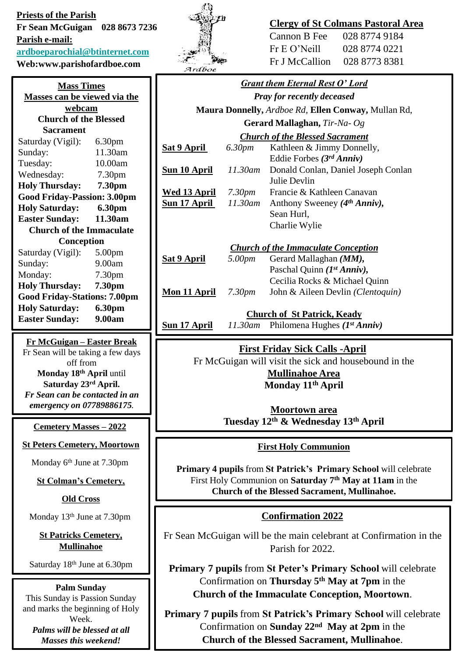**Priests of the Parish Fr Sean McGuigan 028 8673 7236 Parish e-mail: [ardboeparochial@btinternet.com](mailto:ardboeparochial@btinternet.com) Web:www.parishofardboe.com**

| <b>Mass Times</b>                   |                    |  |
|-------------------------------------|--------------------|--|
| <b>Masses can be viewed via the</b> |                    |  |
| webcam                              |                    |  |
| <b>Church of the Blessed</b>        |                    |  |
| Sacrament                           |                    |  |
| Saturday (Vigil):                   | 6.30 <sub>pm</sub> |  |
| Sunday:                             | 11.30am            |  |
| Tuesday:                            | 10.00am            |  |
| Wednesday:                          | 7.30 <sub>pm</sub> |  |
| <b>Holy Thursday:</b>               | 7.30pm             |  |
| <b>Good Friday-Passion: 3.00pm</b>  |                    |  |
| <b>Holy Saturday:</b>               | 6.30pm             |  |
| <b>Easter Sunday:</b>               | 11.30am            |  |
| <b>Church of the Immaculate</b>     |                    |  |
| Conception                          |                    |  |
| Saturday (Vigil):                   | 5.00 <sub>pm</sub> |  |
| Sunday:                             | 9.00am             |  |
| Monday:                             | 7.30 <sub>pm</sub> |  |
| <b>Holy Thursday:</b>               | 7.30pm             |  |
| <b>Good Friday-Stations: 7.00pm</b> |                    |  |
| <b>Holy Saturday:</b>               | 6.30pm             |  |

**Fr McGuigan – Easter Break** Fr Sean will be taking a few days off from **Monday 18th April** until **Saturday 23rd April.** *Fr Sean can be contacted in an emergency on 07789886175*.

**Easter Sunday: 9.00am**

**Cemetery Masses – 2022**

**St Peters Cemetery, Moortown**

Monday 6th June at 7.30pm

**St Colman's Cemetery,** 

**Old Cross**

Monday 13th June at 7.30pm

**St Patricks Cemetery, Mullinahoe**

Saturday 18<sup>th</sup> June at 6.30pm

**Palm Sunday** This Sunday is Passion Sunday and marks the beginning of Holy Week. *Palms will be blessed at all Masses this weekend!*



# **Clergy of St Colmans Pastoral Area**

| Cannon B Fee    | 028 8774 9184 |
|-----------------|---------------|
| $Fr E O'$ Neill | 028 8774 0221 |
| Fr J McCallion  | 028 8773 8381 |

| <b>Grant them Eternal Rest O' Lord</b>                                                                                                  |                    |                                                       |
|-----------------------------------------------------------------------------------------------------------------------------------------|--------------------|-------------------------------------------------------|
| <b>Pray for recently deceased</b>                                                                                                       |                    |                                                       |
| Maura Donnelly, Ardboe Rd, Ellen Conway, Mullan Rd,                                                                                     |                    |                                                       |
| Gerard Mallaghan, Tir-Na- Og                                                                                                            |                    |                                                       |
| <b>Church of the Blessed Sacrament</b>                                                                                                  |                    |                                                       |
| <u>Sat 9 April_</u>                                                                                                                     | 6.30pm             | Kathleen & Jimmy Donnelly,                            |
|                                                                                                                                         |                    | Eddie Forbes $(3^{rd} Anniv)$                         |
| <u>Sun 10 April</u>                                                                                                                     | 11.30am            | Donald Conlan, Daniel Joseph Conlan                   |
|                                                                                                                                         |                    | Julie Devlin                                          |
| Wed 13 April                                                                                                                            | 7.30 <sub>pm</sub> | Francie & Kathleen Canavan                            |
| <u>Sun 17 April</u>                                                                                                                     | 11.30am            | Anthony Sweeney $(4th Anniv)$ ,                       |
|                                                                                                                                         |                    | Sean Hurl,                                            |
|                                                                                                                                         |                    | Charlie Wylie                                         |
| <b>Church of the Immaculate Conception</b>                                                                                              |                    |                                                       |
| <u>Sat 9 April</u>                                                                                                                      | 5.00pm             | Gerard Mallaghan (MM),                                |
|                                                                                                                                         |                    | Paschal Quinn $(I^{st} Anniv)$ ,                      |
|                                                                                                                                         |                    | Cecilia Rocks & Michael Quinn                         |
| <u>Mon 11 April</u>                                                                                                                     | 7.30 <sub>pm</sub> | John & Aileen Devlin (Clentoquin)                     |
|                                                                                                                                         |                    |                                                       |
| <b>Church of St Patrick, Keady</b><br>11.30am Philomena Hughes $(Ist Anniv)$                                                            |                    |                                                       |
| <u>Sun 17 April</u>                                                                                                                     |                    |                                                       |
| <b>First Friday Sick Calls -April</b>                                                                                                   |                    |                                                       |
|                                                                                                                                         |                    | Fr McGuigan will visit the sick and housebound in the |
| <b>Mullinahoe Area</b>                                                                                                                  |                    |                                                       |
| Monday 11 <sup>th</sup> April                                                                                                           |                    |                                                       |
|                                                                                                                                         |                    |                                                       |
|                                                                                                                                         |                    | <b>Moortown area</b>                                  |
| Tuesday 12 <sup>th</sup> & Wednesday 13 <sup>th</sup> April                                                                             |                    |                                                       |
|                                                                                                                                         |                    |                                                       |
| <b>First Holy Communion</b>                                                                                                             |                    |                                                       |
| Primary 4 pupils from St Patrick's Primary School will celebrate<br>First Holy Communion on Saturday 7 <sup>th</sup> May at 11am in the |                    |                                                       |

**Church of the Blessed Sacrament, Mullinahoe.**

### **Confirmation 2022**

Fr Sean McGuigan will be the main celebrant at Confirmation in the Parish for 2022.

**Primary 7 pupils** from **St Peter's Primary School** will celebrate Confirmation on **Thursday 5th May at 7pm** in the **Church of the Immaculate Conception, Moortown**.

**Primary 7 pupils** from **St Patrick's Primary School** will celebrate Confirmation on **Sunday 22nd May at 2pm** in the **Church of the Blessed Sacrament, Mullinahoe**.